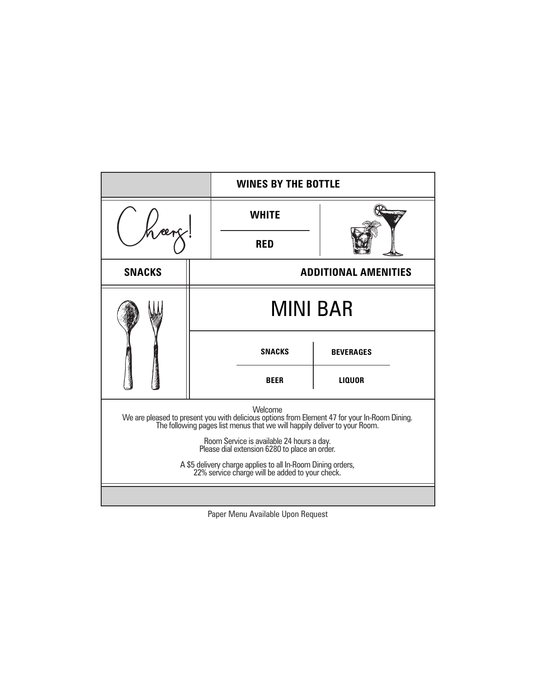|                                                                                                                                                                                       |                             | <b>WINES BY THE BOTTLE</b> |                  |  |
|---------------------------------------------------------------------------------------------------------------------------------------------------------------------------------------|-----------------------------|----------------------------|------------------|--|
|                                                                                                                                                                                       |                             | <b>WHITE</b>               |                  |  |
|                                                                                                                                                                                       |                             | <b>RED</b>                 |                  |  |
| <b>SNACKS</b>                                                                                                                                                                         | <b>ADDITIONAL AMENITIES</b> |                            |                  |  |
|                                                                                                                                                                                       | <b>MINI BAR</b>             |                            |                  |  |
|                                                                                                                                                                                       |                             | <b>SNACKS</b>              | <b>BEVERAGES</b> |  |
|                                                                                                                                                                                       |                             | <b>BEER</b>                | <b>LIQUOR</b>    |  |
| Welcome<br>We are pleased to present you with delicious options from Element 47 for your In-Room Dining.<br>The following pages list menus that we will happily deliver to your Room. |                             |                            |                  |  |
| Room Service is available 24 hours a day.<br>Please dial extension 6280 to place an order.                                                                                            |                             |                            |                  |  |
| A \$5 delivery charge applies to all In-Room Dining orders,<br>22% service charge will be added to your check.                                                                        |                             |                            |                  |  |
|                                                                                                                                                                                       |                             |                            |                  |  |

Paper Menu Available Upon Request